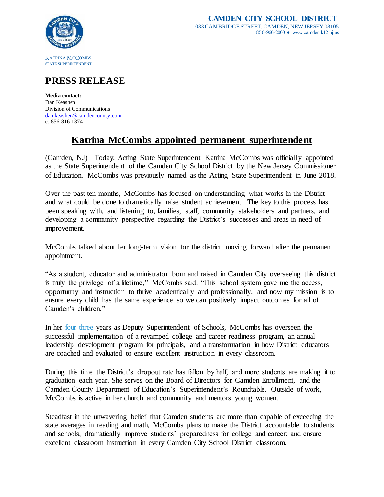

## **PRESS RELEASE**

**Media contact:** Dan Keashen Division of Communications [dan.keashen@camdencounty.com](mailto:dan.keashen@camdencounty.com) c: 856-816-1374

## **Katrina McCombs appointed permanent superintendent**

(Camden, NJ) – Today, Acting State Superintendent Katrina McCombs was officially appointed as the State Superintendent of the Camden City School District by the New Jersey Commissioner of Education. McCombs was previously named as the Acting State Superintendent in June 2018.

Over the past ten months, McCombs has focused on understanding what works in the District and what could be done to dramatically raise student achievement. The key to this process has been speaking with, and listening to, families, staff, community stakeholders and partners, and developing a community perspective regarding the District's successes and areas in need of improvement.

McCombs talked about her long-term vision for the district moving forward after the permanent appointment.

"As a student, educator and administrator born and raised in Camden City overseeing this district is truly the privilege of a lifetime," McCombs said. "This school system gave me the access, opportunity and instruction to thrive academically and professionally, and now my mission is to ensure every child has the same experience so we can positively impact outcomes for all of Camden's children."

In her four three years as Deputy Superintendent of Schools, McCombs has overseen the successful implementation of a revamped college and career readiness program, an annual leadership development program for principals, and a transformation in how District educators are coached and evaluated to ensure excellent instruction in every classroom.

During this time the District's dropout rate has fallen by half, and more students are making it to graduation each year. She serves on the Board of Directors for Camden Enrollment, and the Camden County Department of Education's Superintendent's Roundtable. Outside of work, McCombs is active in her church and community and mentors young women.

Steadfast in the unwavering belief that Camden students are more than capable of exceeding the state averages in reading and math, McCombs plans to make the District accountable to students and schools; dramatically improve students' preparedness for college and career; and ensure excellent classroom instruction in every Camden City School District classroom.